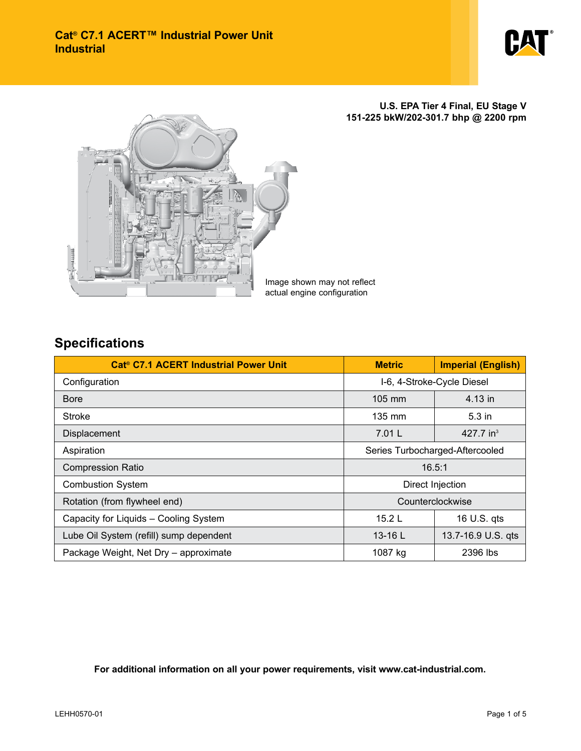

**U.S. EPA Tier 4 Final, EU Stage V 151-225 bkW/202-301.7 bhp @ 2200 rpm**



Image shown may not reflect actual engine configuration

## **Specifications**

| Cat <sup>®</sup> C7.1 ACERT Industrial Power Unit | <b>Metric</b>                   | <b>Imperial (English)</b> |  |
|---------------------------------------------------|---------------------------------|---------------------------|--|
| Configuration                                     | I-6, 4-Stroke-Cycle Diesel      |                           |  |
| Bore                                              | $105 \text{ mm}$                | 4.13 in                   |  |
| Stroke                                            | 135 mm                          | $5.3$ in                  |  |
| Displacement                                      | 7.01 L                          |                           |  |
| Aspiration                                        | Series Turbocharged-Aftercooled |                           |  |
| <b>Compression Ratio</b>                          | 16.5:1                          |                           |  |
| <b>Combustion System</b>                          | Direct Injection                |                           |  |
| Rotation (from flywheel end)                      | Counterclockwise                |                           |  |
| Capacity for Liquids - Cooling System             | 15.2 $L$                        | 16 U.S. qts               |  |
| Lube Oil System (refill) sump dependent           | $13-16$ L                       | 13.7-16.9 U.S. qts        |  |
| Package Weight, Net Dry - approximate             | 1087 kg                         | 2396 lbs                  |  |

**For additional information on all your power requirements, visit www.cat-industrial.com.**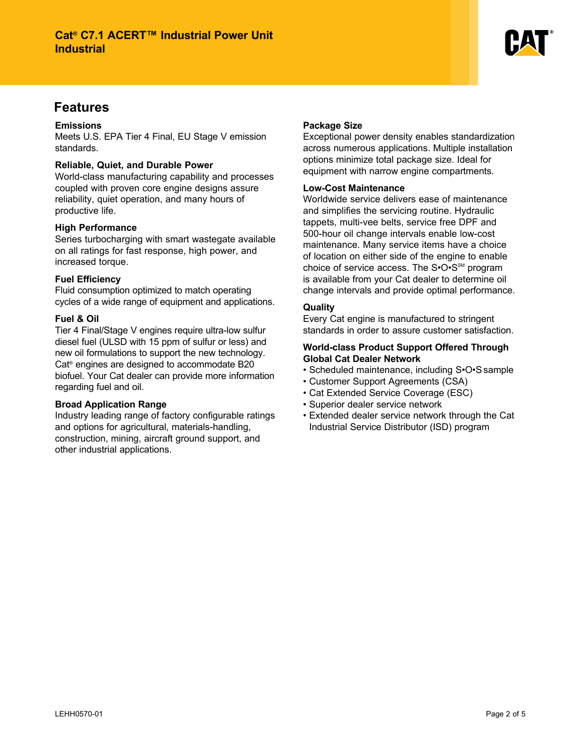

## **Features**

#### **Emissions**

Meets U.S. EPA Tier 4 Final, EU Stage V emission standards.

#### **Reliable, Quiet, and Durable Power**

World-class manufacturing capability and processes coupled with proven core engine designs assure reliability, quiet operation, and many hours of productive life.

#### **High Performance**

Series turbocharging with smart wastegate available on all ratings for fast response, high power, and increased torque.

#### **Fuel Efficiency**

Fluid consumption optimized to match operating cycles of a wide range of equipment and applications.

#### **Fuel & Oil**

Tier 4 Final/Stage V engines require ultra-low sulfur diesel fuel (ULSD with 15 ppm of sulfur or less) and new oil formulations to support the new technology. Cat<sup>®</sup> engines are designed to accommodate B20 biofuel. Your Cat dealer can provide more information regarding fuel and oil.

#### **Broad Application Range**

Industry leading range of factory configurable ratings and options for agricultural, materials-handling, construction, mining, aircraft ground support, and other industrial applications.

#### **Package Size**

Exceptional power density enables standardization across numerous applications. Multiple installation options minimize total package size. Ideal for equipment with narrow engine compartments.

#### **Low-Cost Maintenance**

Worldwide service delivers ease of maintenance and simplifies the servicing routine. Hydraulic tappets, multi-vee belts, service free DPF and 500-hour oil change intervals enable low-cost maintenance. Many service items have a choice of location on either side of the engine to enable choice of service access. The  $S\cdot O\cdot S^{\text{SM}}$  program is available from your Cat dealer to determine oil change intervals and provide optimal performance.

#### **Quality**

Every Cat engine is manufactured to stringent standards in order to assure customer satisfaction.

#### **World-class Product Support Offered Through Global Cat Dealer Network**

- Scheduled maintenance, including S•O•S sample
- Customer Support Agreements (CSA)
- Cat Extended Service Coverage (ESC)
- Superior dealer service network
- Extended dealer service network through the Cat Industrial Service Distributor (ISD) program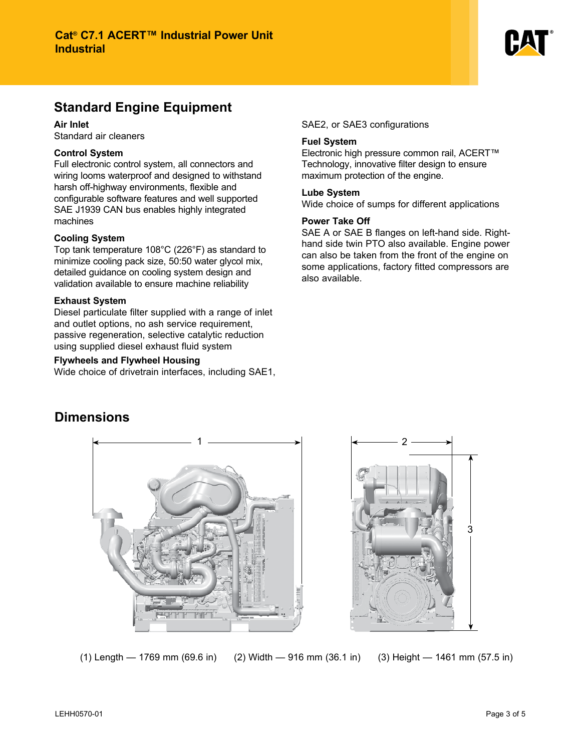

# **Standard Engine Equipment**

**Air Inlet**

Standard air cleaners

#### **Control System**

Full electronic control system, all connectors and wiring looms waterproof and designed to withstand harsh off-highway environments, flexible and configurable software features and well supported SAE J1939 CAN bus enables highly integrated machines

#### **Cooling System**

Top tank temperature 108°C (226°F) as standard to minimize cooling pack size, 50:50 water glycol mix, detailed guidance on cooling system design and validation available to ensure machine reliability

#### **Exhaust System**

Diesel particulate filter supplied with a range of inlet and outlet options, no ash service requirement, passive regeneration, selective catalytic reduction using supplied diesel exhaust fluid system

#### **Flywheels and Flywheel Housing**

Wide choice of drivetrain interfaces, including SAE1,

SAE2, or SAE3 configurations

#### **Fuel System**

Electronic high pressure common rail, ACERT™ Technology, innovative filter design to ensure maximum protection of the engine.

#### **Lube System**

Wide choice of sumps for different applications

#### **Power Take Off**

SAE A or SAE B flanges on left-hand side. Righthand side twin PTO also available. Engine power can also be taken from the front of the engine on some applications, factory fitted compressors are also available.

### **Dimensions**





(1) Length — 1769 mm (69.6 in) (2) Width — 916 mm (36.1 in) (3) Height — 1461 mm (57.5 in)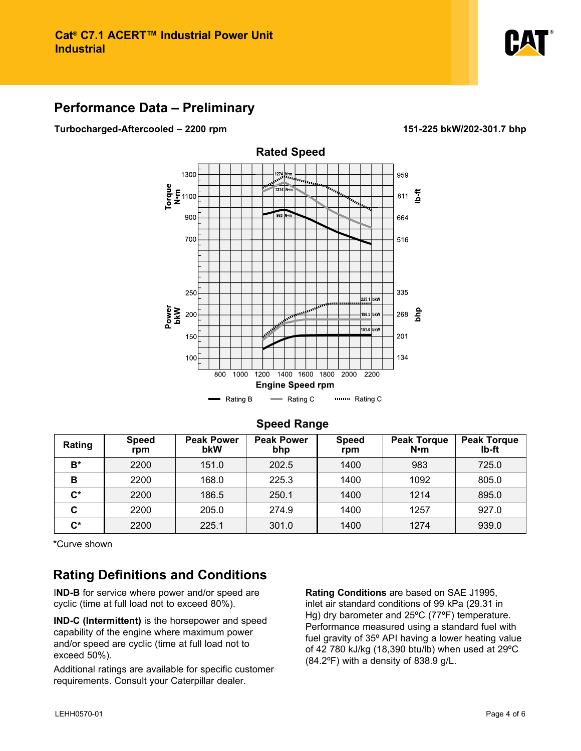

### **Performance Data – Preliminary**

**Turbocharged-Aftercooled – 2200 rpm 151-225 bkW/202-301.7 bhp**



#### **Speed Range**

| Rating             | <b>Speed</b><br>rpm | <b>Peak Power</b><br>bkW | <b>Peak Power</b><br>bhp | <b>Speed</b><br>rpm | <b>Peak Torque</b><br>$N \cdot m$ | <b>Peak Torque</b><br>lb-ft |
|--------------------|---------------------|--------------------------|--------------------------|---------------------|-----------------------------------|-----------------------------|
| B*                 | 2200                | 151.0                    | 202.5                    | 1400                | 983                               | 725.0                       |
| В                  | 2200                | 168.0                    | 225.3                    | 1400                | 1092                              | 805.0                       |
| $\mathsf{C}^\star$ | 2200                | 186.5                    | 250.1                    | 1400                | 1214                              | 895.0                       |
| С                  | 2200                | 205.0                    | 274.9                    | 1400                | 1257                              | 927.0                       |
| $\mathbf{C}^*$     | 2200                | 225.1                    | 301.0                    | 1400                | 1274                              | 939.0                       |

\*Curve shown

## **Rating Definitions and Conditions**

I**ND-B** for service where power and/or speed are cyclic (time at full load not to exceed 80%).

**IND-C (Intermittent)** is the horsepower and speed capability of the engine where maximum power and/or speed are cyclic (time at full load not to exceed 50%).

Additional ratings are available for specific customer requirements. Consult your Caterpillar dealer.

**Rating Conditions** are based on SAE J1995, inlet air standard conditions of 99 kPa (29.31 in Hg) dry barometer and 25ºC (77ºF) temperature. Performance measured using a standard fuel with fuel gravity of 35º API having a lower heating value of 42 780 kJ/kg (18,390 btu/lb) when used at 29ºC (84.2ºF) with a density of 838.9 g/L.